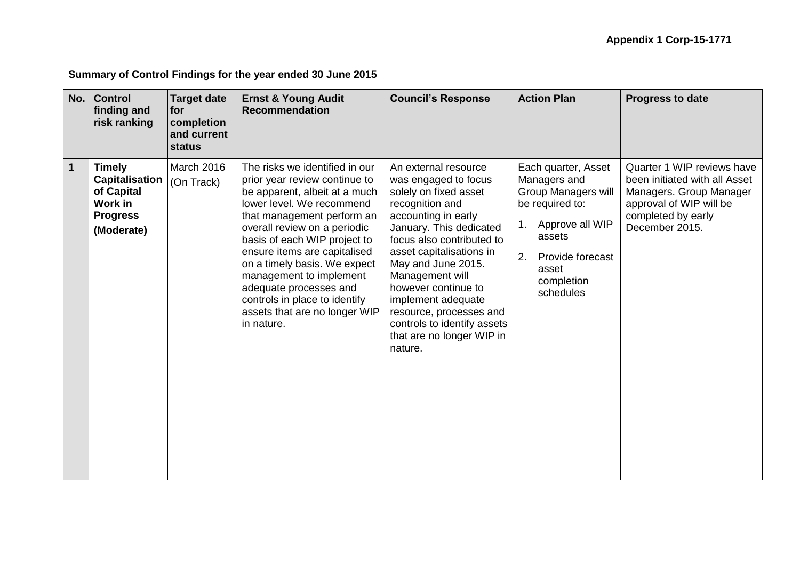## **Summary of Control Findings for the year ended 30 June 2015**

| No.          | <b>Control</b><br>finding and<br>risk ranking                                                    | <b>Target date</b><br>for<br>completion<br>and current<br><b>status</b> | <b>Ernst &amp; Young Audit</b><br><b>Recommendation</b>                                                                                                                                                                                                                                                                                                                                                                          | <b>Council's Response</b>                                                                                                                                                                                                                                                                                                                                                                   | <b>Action Plan</b>                                                                                                                                                              | <b>Progress to date</b>                                                                                                                                   |
|--------------|--------------------------------------------------------------------------------------------------|-------------------------------------------------------------------------|----------------------------------------------------------------------------------------------------------------------------------------------------------------------------------------------------------------------------------------------------------------------------------------------------------------------------------------------------------------------------------------------------------------------------------|---------------------------------------------------------------------------------------------------------------------------------------------------------------------------------------------------------------------------------------------------------------------------------------------------------------------------------------------------------------------------------------------|---------------------------------------------------------------------------------------------------------------------------------------------------------------------------------|-----------------------------------------------------------------------------------------------------------------------------------------------------------|
| $\mathbf{1}$ | <b>Timely</b><br><b>Capitalisation</b><br>of Capital<br>Work in<br><b>Progress</b><br>(Moderate) | March 2016<br>(On Track)                                                | The risks we identified in our<br>prior year review continue to<br>be apparent, albeit at a much<br>lower level. We recommend<br>that management perform an<br>overall review on a periodic<br>basis of each WIP project to<br>ensure items are capitalised<br>on a timely basis. We expect<br>management to implement<br>adequate processes and<br>controls in place to identify<br>assets that are no longer WIP<br>in nature. | An external resource<br>was engaged to focus<br>solely on fixed asset<br>recognition and<br>accounting in early<br>January. This dedicated<br>focus also contributed to<br>asset capitalisations in<br>May and June 2015.<br>Management will<br>however continue to<br>implement adequate<br>resource, processes and<br>controls to identify assets<br>that are no longer WIP in<br>nature. | Each quarter, Asset<br>Managers and<br><b>Group Managers will</b><br>be required to:<br>Approve all WIP<br>assets<br>2.<br>Provide forecast<br>asset<br>completion<br>schedules | Quarter 1 WIP reviews have<br>been initiated with all Asset<br>Managers. Group Manager<br>approval of WIP will be<br>completed by early<br>December 2015. |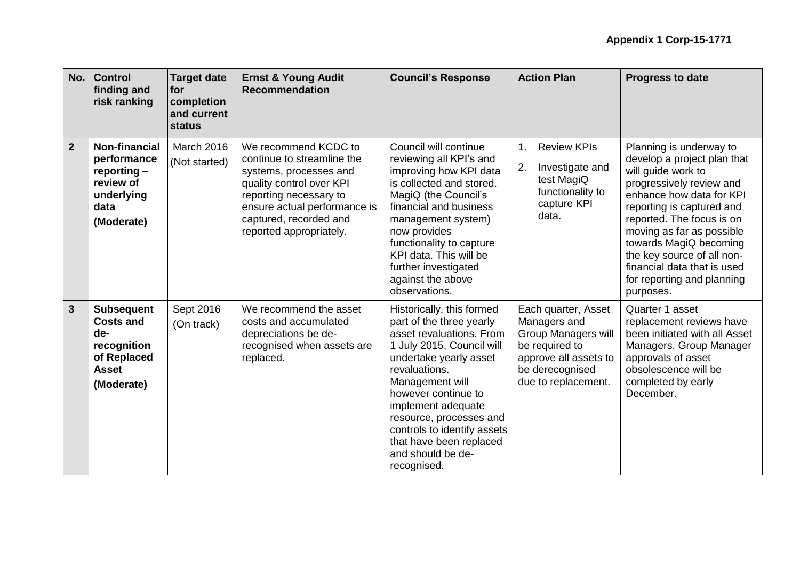| No.            | <b>Control</b><br>finding and<br>risk ranking                                                            | <b>Target date</b><br>for<br>completion<br>and current<br><b>status</b> | <b>Ernst &amp; Young Audit</b><br><b>Recommendation</b>                                                                                                                                                                 | <b>Council's Response</b>                                                                                                                                                                                                                                                                                                                          | <b>Action Plan</b>                                                                                                                                     | <b>Progress to date</b>                                                                                                                                                                                                                                                                                                                                       |
|----------------|----------------------------------------------------------------------------------------------------------|-------------------------------------------------------------------------|-------------------------------------------------------------------------------------------------------------------------------------------------------------------------------------------------------------------------|----------------------------------------------------------------------------------------------------------------------------------------------------------------------------------------------------------------------------------------------------------------------------------------------------------------------------------------------------|--------------------------------------------------------------------------------------------------------------------------------------------------------|---------------------------------------------------------------------------------------------------------------------------------------------------------------------------------------------------------------------------------------------------------------------------------------------------------------------------------------------------------------|
| $\overline{2}$ | <b>Non-financial</b><br>performance<br>$reporting -$<br>review of<br>underlying<br>data<br>(Moderate)    | <b>March 2016</b><br>(Not started)                                      | We recommend KCDC to<br>continue to streamline the<br>systems, processes and<br>quality control over KPI<br>reporting necessary to<br>ensure actual performance is<br>captured, recorded and<br>reported appropriately. | Council will continue<br>reviewing all KPI's and<br>improving how KPI data<br>is collected and stored.<br>MagiQ (the Council's<br>financial and business<br>management system)<br>now provides<br>functionality to capture<br>KPI data. This will be<br>further investigated<br>against the above<br>observations.                                 | <b>Review KPIs</b><br>1.<br>Investigate and<br>2.<br>test MagiQ<br>functionality to<br>capture KPI<br>data.                                            | Planning is underway to<br>develop a project plan that<br>will guide work to<br>progressively review and<br>enhance how data for KPI<br>reporting is captured and<br>reported. The focus is on<br>moving as far as possible<br>towards MagiQ becoming<br>the key source of all non-<br>financial data that is used<br>for reporting and planning<br>purposes. |
| $\mathbf{3}$   | <b>Subsequent</b><br><b>Costs and</b><br>de-<br>recognition<br>of Replaced<br><b>Asset</b><br>(Moderate) | Sept 2016<br>(On track)                                                 | We recommend the asset<br>costs and accumulated<br>depreciations be de-<br>recognised when assets are<br>replaced.                                                                                                      | Historically, this formed<br>part of the three yearly<br>asset revaluations. From<br>1 July 2015, Council will<br>undertake yearly asset<br>revaluations.<br>Management will<br>however continue to<br>implement adequate<br>resource, processes and<br>controls to identify assets<br>that have been replaced<br>and should be de-<br>recognised. | Each quarter, Asset<br>Managers and<br><b>Group Managers will</b><br>be required to<br>approve all assets to<br>be derecognised<br>due to replacement. | Quarter 1 asset<br>replacement reviews have<br>been initiated with all Asset<br>Managers. Group Manager<br>approvals of asset<br>obsolescence will be<br>completed by early<br>December.                                                                                                                                                                      |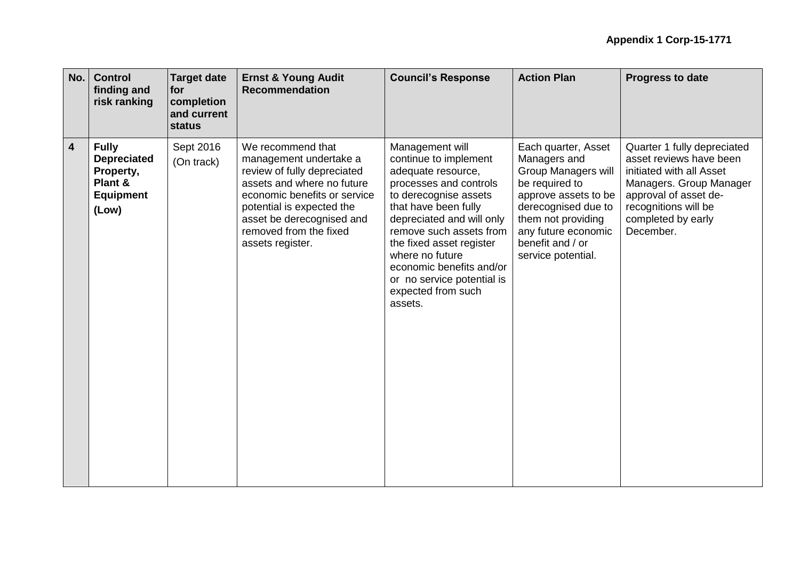| No.                     | <b>Control</b><br>finding and<br>risk ranking                                           | <b>Target date</b><br><b>for</b><br>completion<br>and current<br>status | <b>Ernst &amp; Young Audit</b><br><b>Recommendation</b>                                                                                                                                                                                          | <b>Council's Response</b>                                                                                                                                                                                                                                                                                                                   | <b>Action Plan</b>                                                                                                                                                                                                        | <b>Progress to date</b>                                                                                                                                                                           |
|-------------------------|-----------------------------------------------------------------------------------------|-------------------------------------------------------------------------|--------------------------------------------------------------------------------------------------------------------------------------------------------------------------------------------------------------------------------------------------|---------------------------------------------------------------------------------------------------------------------------------------------------------------------------------------------------------------------------------------------------------------------------------------------------------------------------------------------|---------------------------------------------------------------------------------------------------------------------------------------------------------------------------------------------------------------------------|---------------------------------------------------------------------------------------------------------------------------------------------------------------------------------------------------|
| $\overline{\mathbf{4}}$ | <b>Fully</b><br><b>Depreciated</b><br>Property,<br>Plant &<br><b>Equipment</b><br>(Low) | Sept 2016<br>(On track)                                                 | We recommend that<br>management undertake a<br>review of fully depreciated<br>assets and where no future<br>economic benefits or service<br>potential is expected the<br>asset be derecognised and<br>removed from the fixed<br>assets register. | Management will<br>continue to implement<br>adequate resource,<br>processes and controls<br>to derecognise assets<br>that have been fully<br>depreciated and will only<br>remove such assets from<br>the fixed asset register<br>where no future<br>economic benefits and/or<br>or no service potential is<br>expected from such<br>assets. | Each quarter, Asset<br>Managers and<br><b>Group Managers will</b><br>be required to<br>approve assets to be<br>derecognised due to<br>them not providing<br>any future economic<br>benefit and / or<br>service potential. | Quarter 1 fully depreciated<br>asset reviews have been<br>initiated with all Asset<br>Managers. Group Manager<br>approval of asset de-<br>recognitions will be<br>completed by early<br>December. |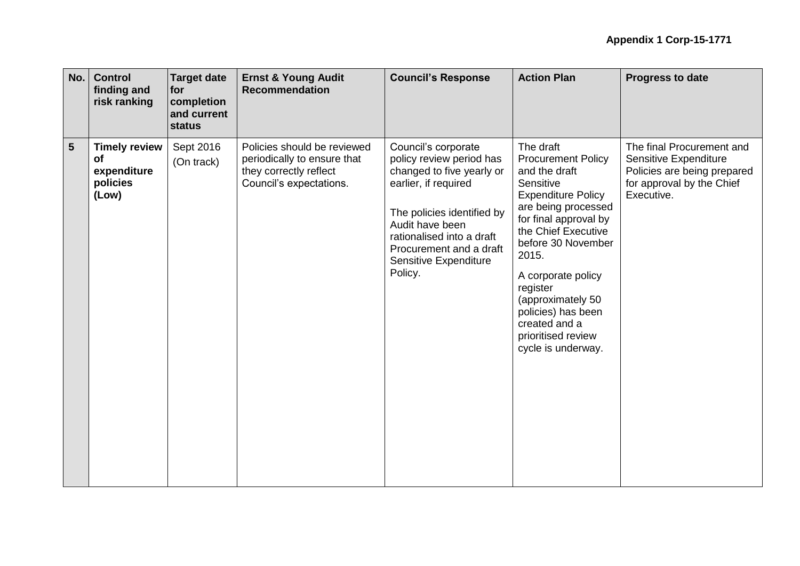| No.            | <b>Control</b><br>finding and<br>risk ranking                  | <b>Target date</b><br>for<br>completion<br>and current<br>status | <b>Ernst &amp; Young Audit</b><br><b>Recommendation</b>                                                         | <b>Council's Response</b>                                                                                                                                                                                                                         | <b>Action Plan</b>                                                                                                                                                                                                                                                                                                                                | <b>Progress to date</b>                                                                                                      |
|----------------|----------------------------------------------------------------|------------------------------------------------------------------|-----------------------------------------------------------------------------------------------------------------|---------------------------------------------------------------------------------------------------------------------------------------------------------------------------------------------------------------------------------------------------|---------------------------------------------------------------------------------------------------------------------------------------------------------------------------------------------------------------------------------------------------------------------------------------------------------------------------------------------------|------------------------------------------------------------------------------------------------------------------------------|
| $5\phantom{1}$ | <b>Timely review</b><br>оf<br>expenditure<br>policies<br>(Low) | Sept 2016<br>(On track)                                          | Policies should be reviewed<br>periodically to ensure that<br>they correctly reflect<br>Council's expectations. | Council's corporate<br>policy review period has<br>changed to five yearly or<br>earlier, if required<br>The policies identified by<br>Audit have been<br>rationalised into a draft<br>Procurement and a draft<br>Sensitive Expenditure<br>Policy. | The draft<br><b>Procurement Policy</b><br>and the draft<br>Sensitive<br><b>Expenditure Policy</b><br>are being processed<br>for final approval by<br>the Chief Executive<br>before 30 November<br>2015.<br>A corporate policy<br>register<br>(approximately 50<br>policies) has been<br>created and a<br>prioritised review<br>cycle is underway. | The final Procurement and<br>Sensitive Expenditure<br>Policies are being prepared<br>for approval by the Chief<br>Executive. |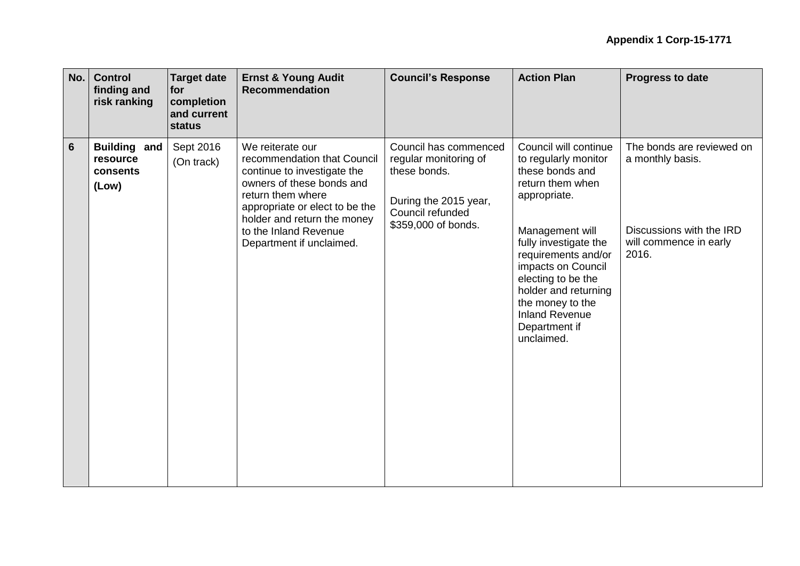| No.             | <b>Control</b><br>finding and<br>risk ranking        | <b>Target date</b><br>for<br>completion<br>and current<br>status | <b>Ernst &amp; Young Audit</b><br><b>Recommendation</b>                                                                                                                                                                                                | <b>Council's Response</b>                                                                                                          | <b>Action Plan</b>                                                                                                                                                                                                                                                                                                      | <b>Progress to date</b>                                                                                      |
|-----------------|------------------------------------------------------|------------------------------------------------------------------|--------------------------------------------------------------------------------------------------------------------------------------------------------------------------------------------------------------------------------------------------------|------------------------------------------------------------------------------------------------------------------------------------|-------------------------------------------------------------------------------------------------------------------------------------------------------------------------------------------------------------------------------------------------------------------------------------------------------------------------|--------------------------------------------------------------------------------------------------------------|
| $6\phantom{1}6$ | <b>Building and</b><br>resource<br>consents<br>(Low) | Sept 2016<br>(On track)                                          | We reiterate our<br>recommendation that Council<br>continue to investigate the<br>owners of these bonds and<br>return them where<br>appropriate or elect to be the<br>holder and return the money<br>to the Inland Revenue<br>Department if unclaimed. | Council has commenced<br>regular monitoring of<br>these bonds.<br>During the 2015 year,<br>Council refunded<br>\$359,000 of bonds. | Council will continue<br>to regularly monitor<br>these bonds and<br>return them when<br>appropriate.<br>Management will<br>fully investigate the<br>requirements and/or<br>impacts on Council<br>electing to be the<br>holder and returning<br>the money to the<br><b>Inland Revenue</b><br>Department if<br>unclaimed. | The bonds are reviewed on<br>a monthly basis.<br>Discussions with the IRD<br>will commence in early<br>2016. |